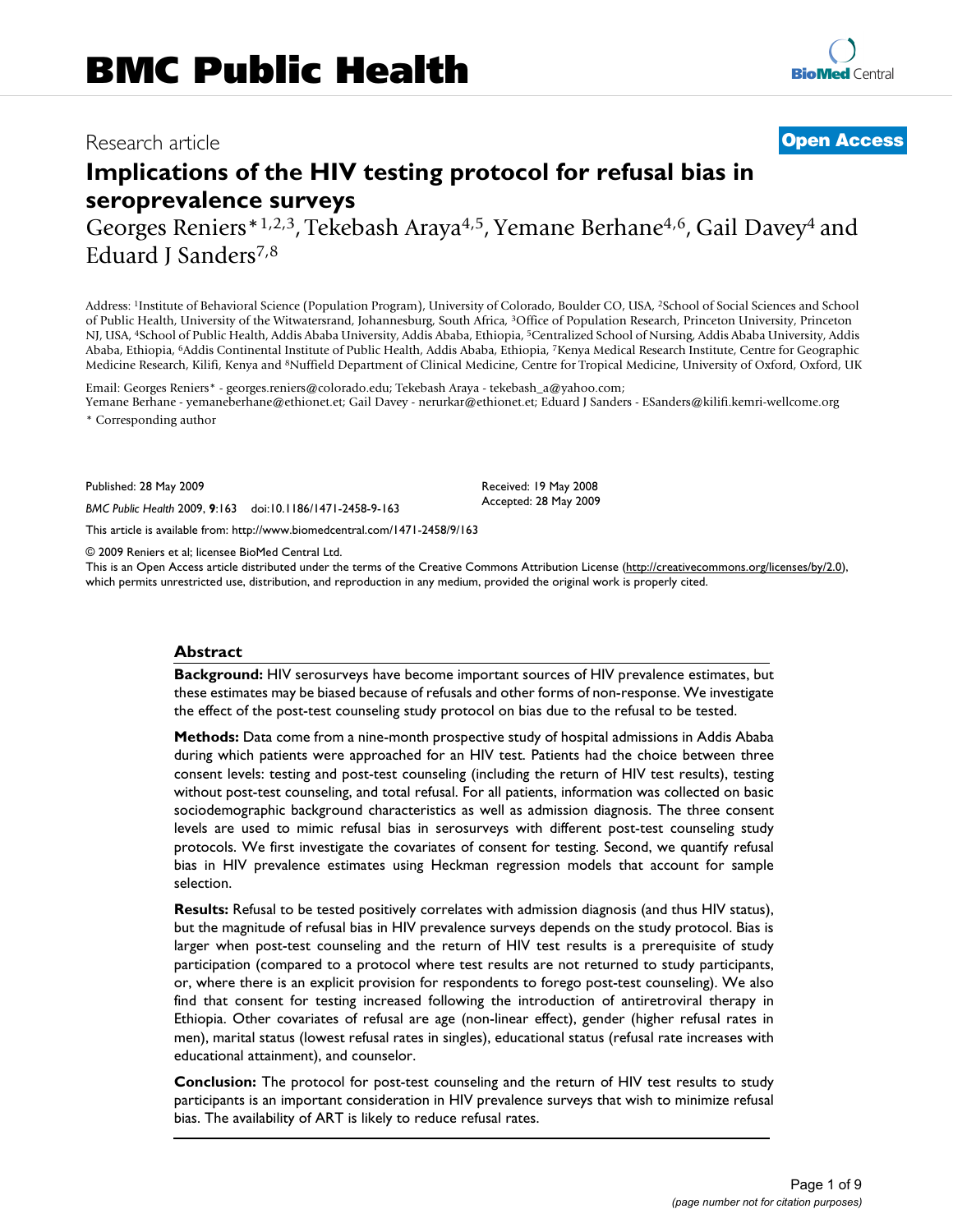# **Implications of the HIV testing protocol for refusal bias in seroprevalence surveys**

Georges Reniers\*1,2,3, Tekebash Araya4,5, Yemane Berhane4,6, Gail Davey4 and Eduard J Sanders<sup>7,8</sup>

Address: 1Institute of Behavioral Science (Population Program), University of Colorado, Boulder CO, USA, 2School of Social Sciences and School of Public Health, University of the Witwatersrand, Johannesburg, South Africa, 3Office of Population Research, Princeton University, Princeton NJ, USA, 4School of Public Health, Addis Ababa University, Addis Ababa, Ethiopia, 5Centralized School of Nursing, Addis Ababa University, Addis Ababa, Ethiopia, 6Addis Continental Institute of Public Health, Addis Ababa, Ethiopia, 7Kenya Medical Research Institute, Centre for Geographic Medicine Research, Kilifi, Kenya and 8Nuffield Department of Clinical Medicine, Centre for Tropical Medicine, University of Oxford, Oxford, UK

Email: Georges Reniers\* - georges.reniers@colorado.edu; Tekebash Araya - tekebash\_a@yahoo.com; Yemane Berhane - yemaneberhane@ethionet.et; Gail Davey - nerurkar@ethionet.et; Eduard J Sanders - ESanders@kilifi.kemri-wellcome.org

\* Corresponding author

Published: 28 May 2009

*BMC Public Health* 2009, **9**:163 doi:10.1186/1471-2458-9-163

[This article is available from: http://www.biomedcentral.com/1471-2458/9/163](http://www.biomedcentral.com/1471-2458/9/163)

© 2009 Reniers et al; licensee BioMed Central Ltd.

This is an Open Access article distributed under the terms of the Creative Commons Attribution License [\(http://creativecommons.org/licenses/by/2.0\)](http://creativecommons.org/licenses/by/2.0), which permits unrestricted use, distribution, and reproduction in any medium, provided the original work is properly cited.

#### **Abstract**

**Background:** HIV serosurveys have become important sources of HIV prevalence estimates, but these estimates may be biased because of refusals and other forms of non-response. We investigate the effect of the post-test counseling study protocol on bias due to the refusal to be tested.

**Methods:** Data come from a nine-month prospective study of hospital admissions in Addis Ababa during which patients were approached for an HIV test. Patients had the choice between three consent levels: testing and post-test counseling (including the return of HIV test results), testing without post-test counseling, and total refusal. For all patients, information was collected on basic sociodemographic background characteristics as well as admission diagnosis. The three consent levels are used to mimic refusal bias in serosurveys with different post-test counseling study protocols. We first investigate the covariates of consent for testing. Second, we quantify refusal bias in HIV prevalence estimates using Heckman regression models that account for sample selection.

**Results:** Refusal to be tested positively correlates with admission diagnosis (and thus HIV status), but the magnitude of refusal bias in HIV prevalence surveys depends on the study protocol. Bias is larger when post-test counseling and the return of HIV test results is a prerequisite of study participation (compared to a protocol where test results are not returned to study participants, or, where there is an explicit provision for respondents to forego post-test counseling). We also find that consent for testing increased following the introduction of antiretroviral therapy in Ethiopia. Other covariates of refusal are age (non-linear effect), gender (higher refusal rates in men), marital status (lowest refusal rates in singles), educational status (refusal rate increases with educational attainment), and counselor.

**Conclusion:** The protocol for post-test counseling and the return of HIV test results to study participants is an important consideration in HIV prevalence surveys that wish to minimize refusal bias. The availability of ART is likely to reduce refusal rates.

# Research article **[Open Access](http://www.biomedcentral.com/info/about/charter/)**

Received: 19 May 2008 Accepted: 28 May 2009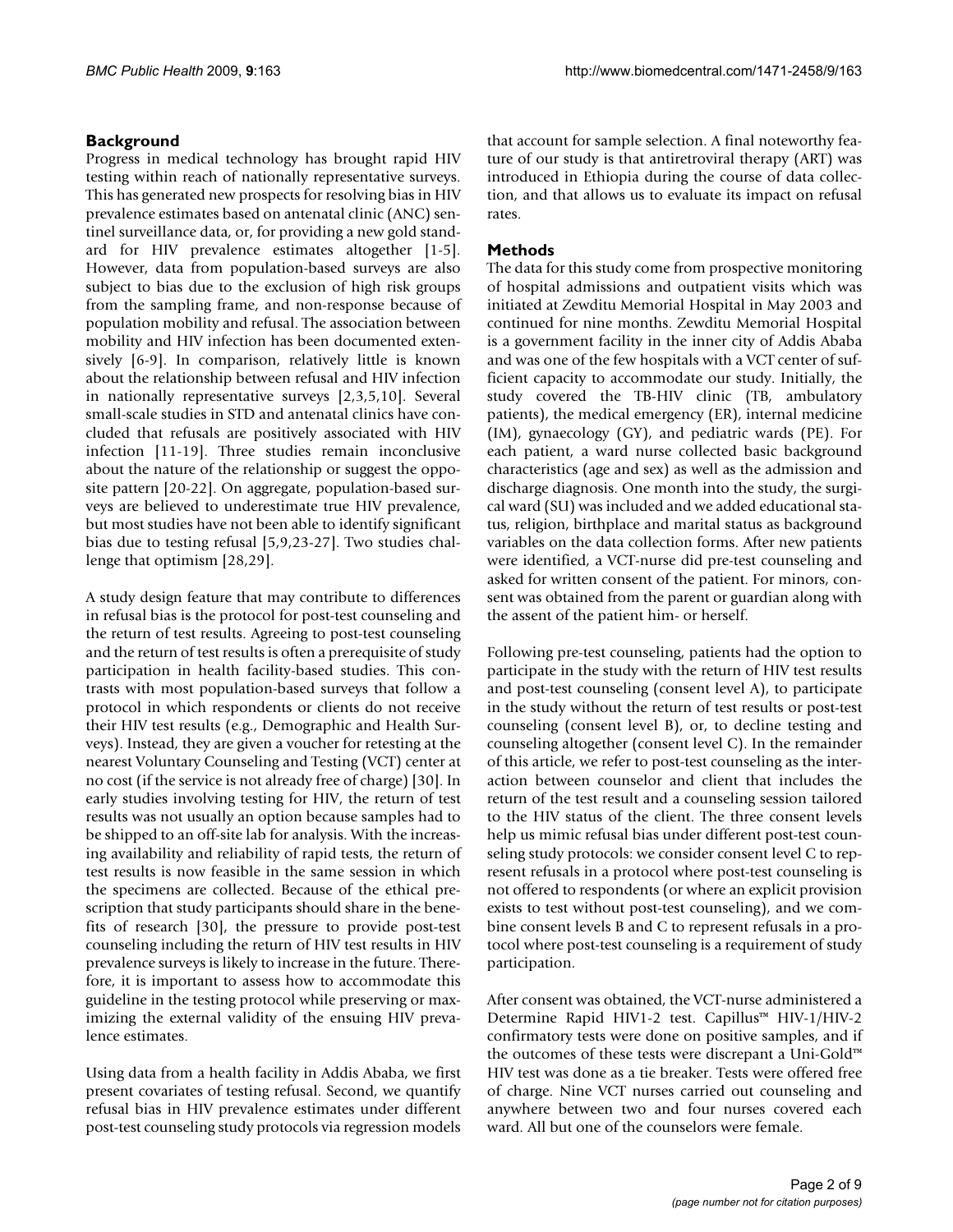# **Background**

Progress in medical technology has brought rapid HIV testing within reach of nationally representative surveys. This has generated new prospects for resolving bias in HIV prevalence estimates based on antenatal clinic (ANC) sentinel surveillance data, or, for providing a new gold standard for HIV prevalence estimates altogether [\[1-](#page-8-0)[5](#page-8-1)]. However, data from population-based surveys are also subject to bias due to the exclusion of high risk groups from the sampling frame, and non-response because of population mobility and refusal. The association between mobility and HIV infection has been documented extensively [[6-](#page-8-2)[9](#page-8-3)]. In comparison, relatively little is known about the relationship between refusal and HIV infection in nationally representative surveys [[2](#page-8-4)[,3](#page-8-5)[,5](#page-8-1)[,10](#page-8-6)]. Several small-scale studies in STD and antenatal clinics have concluded that refusals are positively associated with HIV infection [\[11-](#page-8-7)[19\]](#page-8-8). Three studies remain inconclusive about the nature of the relationship or suggest the opposite pattern [[20](#page-8-9)[-22](#page-8-10)]. On aggregate, population-based surveys are believed to underestimate true HIV prevalence, but most studies have not been able to identify significant bias due to testing refusal [[5](#page-8-1),[9](#page-8-3),[23-](#page-8-11)[27\]](#page-8-12). Two studies challenge that optimism [\[28](#page-8-13)[,29](#page-8-14)].

A study design feature that may contribute to differences in refusal bias is the protocol for post-test counseling and the return of test results. Agreeing to post-test counseling and the return of test results is often a prerequisite of study participation in health facility-based studies. This contrasts with most population-based surveys that follow a protocol in which respondents or clients do not receive their HIV test results (e.g., Demographic and Health Surveys). Instead, they are given a voucher for retesting at the nearest Voluntary Counseling and Testing (VCT) center at no cost (if the service is not already free of charge) [\[30](#page-8-15)]. In early studies involving testing for HIV, the return of test results was not usually an option because samples had to be shipped to an off-site lab for analysis. With the increasing availability and reliability of rapid tests, the return of test results is now feasible in the same session in which the specimens are collected. Because of the ethical prescription that study participants should share in the benefits of research [\[30](#page-8-15)], the pressure to provide post-test counseling including the return of HIV test results in HIV prevalence surveys is likely to increase in the future. Therefore, it is important to assess how to accommodate this guideline in the testing protocol while preserving or maximizing the external validity of the ensuing HIV prevalence estimates.

Using data from a health facility in Addis Ababa, we first present covariates of testing refusal. Second, we quantify refusal bias in HIV prevalence estimates under different post-test counseling study protocols via regression models that account for sample selection. A final noteworthy feature of our study is that antiretroviral therapy (ART) was introduced in Ethiopia during the course of data collection, and that allows us to evaluate its impact on refusal rates.

# **Methods**

The data for this study come from prospective monitoring of hospital admissions and outpatient visits which was initiated at Zewditu Memorial Hospital in May 2003 and continued for nine months. Zewditu Memorial Hospital is a government facility in the inner city of Addis Ababa and was one of the few hospitals with a VCT center of sufficient capacity to accommodate our study. Initially, the study covered the TB-HIV clinic (TB, ambulatory patients), the medical emergency (ER), internal medicine (IM), gynaecology (GY), and pediatric wards (PE). For each patient, a ward nurse collected basic background characteristics (age and sex) as well as the admission and discharge diagnosis. One month into the study, the surgical ward (SU) was included and we added educational status, religion, birthplace and marital status as background variables on the data collection forms. After new patients were identified, a VCT-nurse did pre-test counseling and asked for written consent of the patient. For minors, consent was obtained from the parent or guardian along with the assent of the patient him- or herself.

Following pre-test counseling, patients had the option to participate in the study with the return of HIV test results and post-test counseling (consent level A), to participate in the study without the return of test results or post-test counseling (consent level B), or, to decline testing and counseling altogether (consent level C). In the remainder of this article, we refer to post-test counseling as the interaction between counselor and client that includes the return of the test result and a counseling session tailored to the HIV status of the client. The three consent levels help us mimic refusal bias under different post-test counseling study protocols: we consider consent level C to represent refusals in a protocol where post-test counseling is not offered to respondents (or where an explicit provision exists to test without post-test counseling), and we combine consent levels B and C to represent refusals in a protocol where post-test counseling is a requirement of study participation.

After consent was obtained, the VCT-nurse administered a Determine Rapid HIV1-2 test. Capillus™ HIV-1/HIV-2 confirmatory tests were done on positive samples, and if the outcomes of these tests were discrepant a Uni-Gold™ HIV test was done as a tie breaker. Tests were offered free of charge. Nine VCT nurses carried out counseling and anywhere between two and four nurses covered each ward. All but one of the counselors were female.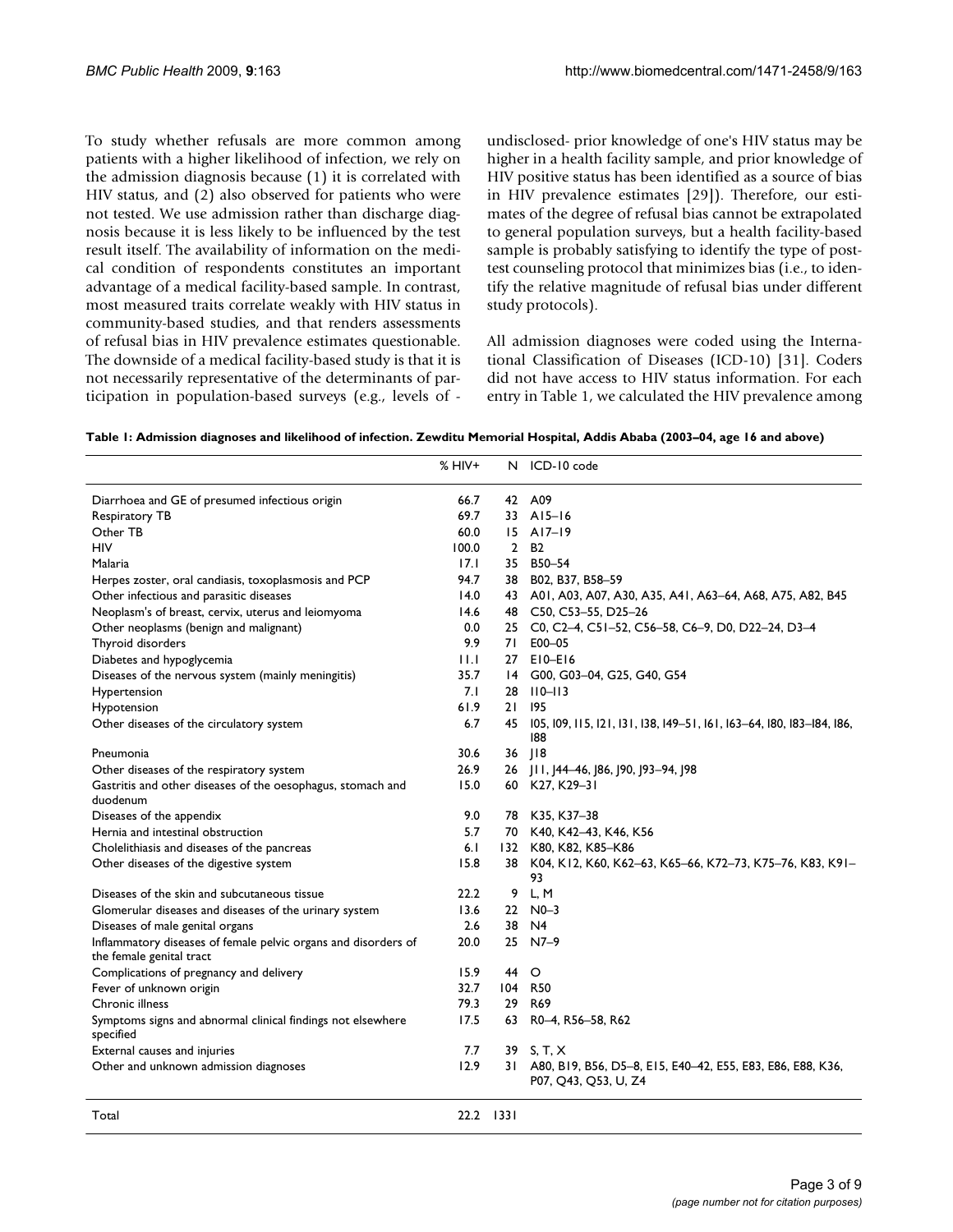To study whether refusals are more common among patients with a higher likelihood of infection, we rely on the admission diagnosis because (1) it is correlated with HIV status, and (2) also observed for patients who were not tested. We use admission rather than discharge diagnosis because it is less likely to be influenced by the test result itself. The availability of information on the medical condition of respondents constitutes an important advantage of a medical facility-based sample. In contrast, most measured traits correlate weakly with HIV status in community-based studies, and that renders assessments of refusal bias in HIV prevalence estimates questionable. The downside of a medical facility-based study is that it is not necessarily representative of the determinants of participation in population-based surveys (e.g., levels of -

undisclosed- prior knowledge of one's HIV status may be higher in a health facility sample, and prior knowledge of HIV positive status has been identified as a source of bias in HIV prevalence estimates [[29](#page-8-14)]). Therefore, our estimates of the degree of refusal bias cannot be extrapolated to general population surveys, but a health facility-based sample is probably satisfying to identify the type of posttest counseling protocol that minimizes bias (i.e., to identify the relative magnitude of refusal bias under different study protocols).

All admission diagnoses were coded using the International Classification of Diseases (ICD-10) [\[31](#page-8-16)]. Coders did not have access to HIV status information. For each entry in Table [1,](#page-2-0) we calculated the HIV prevalence among

<span id="page-2-0"></span>

| Table I: Admission diagnoses and likelihood of infection. Zewditu Memorial Hospital, Addis Ababa (2003–04, age 16 and above) |  |  |  |  |
|------------------------------------------------------------------------------------------------------------------------------|--|--|--|--|
|------------------------------------------------------------------------------------------------------------------------------|--|--|--|--|

|                                                                                            | $%$ HIV+ |             | N ICD-10 code                                                                      |
|--------------------------------------------------------------------------------------------|----------|-------------|------------------------------------------------------------------------------------|
| Diarrhoea and GE of presumed infectious origin                                             | 66.7     |             | 42 A09                                                                             |
| <b>Respiratory TB</b>                                                                      | 69.7     |             | 33 A15-16                                                                          |
| Other TB                                                                                   | 60.0     |             | $15$ AI7-19                                                                        |
| HIV                                                                                        | 100.0    | $2^{\circ}$ | <b>B2</b>                                                                          |
| Malaria                                                                                    | 17.1     |             | 35 B50-54                                                                          |
| Herpes zoster, oral candiasis, toxoplasmosis and PCP                                       | 94.7     |             | 38 B02, B37, B58-59                                                                |
| Other infectious and parasitic diseases                                                    | 14.0     |             | 43 A01, A03, A07, A30, A35, A41, A63-64, A68, A75, A82, B45                        |
| Neoplasm's of breast, cervix, uterus and leiomyoma                                         | 14.6     |             | 48 C50, C53-55, D25-26                                                             |
| Other neoplasms (benign and malignant)                                                     | 0.0      |             | 25 C0, C2-4, C51-52, C56-58, C6-9, D0, D22-24, D3-4                                |
| Thyroid disorders                                                                          | 9.9      | 71.         | E00-05                                                                             |
| Diabetes and hypoglycemia                                                                  | 11.1     |             | 27 E10-E16                                                                         |
| Diseases of the nervous system (mainly meningitis)                                         | 35.7     | 14.         | G00, G03-04, G25, G40, G54                                                         |
| Hypertension                                                                               | 7.1      |             | 28 110-113                                                                         |
| Hypotension                                                                                | 61.9     | 21          | 195                                                                                |
| Other diseases of the circulatory system                                                   | 6.7      | 45          | 105, 109, 115, 121, 131, 138, 149–51, 161, 163–64, 180, 183–184, 186,<br>188       |
| Pneumonia                                                                                  | 30.6     |             | 36   18                                                                            |
| Other diseases of the respiratory system                                                   | 26.9     |             | 26 JII, J44-46, J86, J90, J93-94, J98                                              |
| Gastritis and other diseases of the oesophagus, stomach and<br>duodenum                    | 15.0     |             | 60 K27, K29-31                                                                     |
| Diseases of the appendix                                                                   | 9.0      | 78          | K35, K37-38                                                                        |
| Hernia and intestinal obstruction                                                          | 5.7      |             | 70 K40, K42-43, K46, K56                                                           |
| Cholelithiasis and diseases of the pancreas                                                | 6.1      |             | 132 K80, K82, K85-K86                                                              |
| Other diseases of the digestive system                                                     | 15.8     |             | 38 K04, K12, K60, K62-63, K65-66, K72-73, K75-76, K83, K91-<br>93                  |
| Diseases of the skin and subcutaneous tissue                                               | 22.2     |             | 9 L.M                                                                              |
| Glomerular diseases and diseases of the urinary system                                     | 13.6     |             | 22 N <sub>0</sub> -3                                                               |
| Diseases of male genital organs                                                            | 2.6      | 38          | N <sub>4</sub>                                                                     |
| Inflammatory diseases of female pelvic organs and disorders of<br>the female genital tract | 20.0     |             | 25 N7-9                                                                            |
| Complications of pregnancy and delivery                                                    | 15.9     | 44          | $\circ$                                                                            |
| Fever of unknown origin                                                                    | 32.7     |             | 104 R50                                                                            |
| Chronic illness                                                                            | 79.3     | 29          | R69                                                                                |
| Symptoms signs and abnormal clinical findings not elsewhere<br>specified                   | 17.5     | 63          | R0-4, R56-58, R62                                                                  |
| External causes and injuries                                                               | 7.7      | 39          | S, T, X                                                                            |
| Other and unknown admission diagnoses                                                      | 12.9     | 3 I         | A80, B19, B56, D5-8, E15, E40-42, E55, E83, E86, E88, K36,<br>P07, Q43, Q53, U, Z4 |
| Total                                                                                      |          | 22.2 1331   |                                                                                    |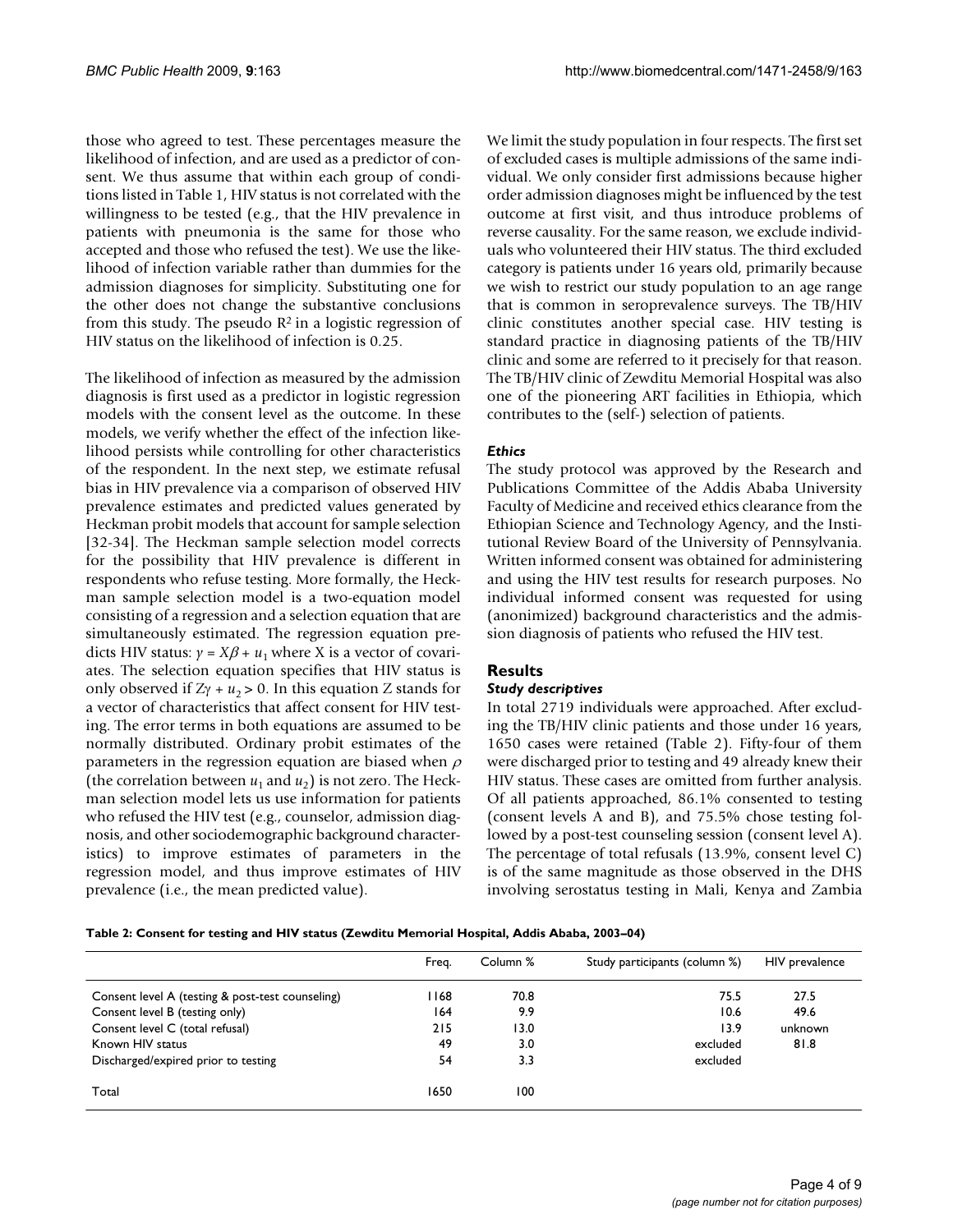those who agreed to test. These percentages measure the likelihood of infection, and are used as a predictor of consent. We thus assume that within each group of conditions listed in Table [1,](#page-2-0) HIV status is not correlated with the willingness to be tested (e.g., that the HIV prevalence in patients with pneumonia is the same for those who accepted and those who refused the test). We use the likelihood of infection variable rather than dummies for the admission diagnoses for simplicity. Substituting one for the other does not change the substantive conclusions from this study. The pseudo  $\mathbb{R}^2$  in a logistic regression of HIV status on the likelihood of infection is 0.25.

The likelihood of infection as measured by the admission diagnosis is first used as a predictor in logistic regression models with the consent level as the outcome. In these models, we verify whether the effect of the infection likelihood persists while controlling for other characteristics of the respondent. In the next step, we estimate refusal bias in HIV prevalence via a comparison of observed HIV prevalence estimates and predicted values generated by Heckman probit models that account for sample selection [[32](#page-8-17)[-34](#page-8-18)]. The Heckman sample selection model corrects for the possibility that HIV prevalence is different in respondents who refuse testing. More formally, the Heckman sample selection model is a two-equation model consisting of a regression and a selection equation that are simultaneously estimated. The regression equation predicts HIV status:  $y = X\beta + u_1$  where X is a vector of covariates. The selection equation specifies that HIV status is only observed if  $Z\gamma + u_2 > 0$ . In this equation Z stands for a vector of characteristics that affect consent for HIV testing. The error terms in both equations are assumed to be normally distributed. Ordinary probit estimates of the parameters in the regression equation are biased when  $\rho$ (the correlation between  $u_1$  and  $u_2$ ) is not zero. The Heckman selection model lets us use information for patients who refused the HIV test (e.g., counselor, admission diagnosis, and other sociodemographic background characteristics) to improve estimates of parameters in the regression model, and thus improve estimates of HIV prevalence (i.e., the mean predicted value).

We limit the study population in four respects. The first set of excluded cases is multiple admissions of the same individual. We only consider first admissions because higher order admission diagnoses might be influenced by the test outcome at first visit, and thus introduce problems of reverse causality. For the same reason, we exclude individuals who volunteered their HIV status. The third excluded category is patients under 16 years old, primarily because we wish to restrict our study population to an age range that is common in seroprevalence surveys. The TB/HIV clinic constitutes another special case. HIV testing is standard practice in diagnosing patients of the TB/HIV clinic and some are referred to it precisely for that reason. The TB/HIV clinic of Zewditu Memorial Hospital was also one of the pioneering ART facilities in Ethiopia, which contributes to the (self-) selection of patients.

# *Ethics*

The study protocol was approved by the Research and Publications Committee of the Addis Ababa University Faculty of Medicine and received ethics clearance from the Ethiopian Science and Technology Agency, and the Institutional Review Board of the University of Pennsylvania. Written informed consent was obtained for administering and using the HIV test results for research purposes. No individual informed consent was requested for using (anonimized) background characteristics and the admission diagnosis of patients who refused the HIV test.

# **Results**

# *Study descriptives*

In total 2719 individuals were approached. After excluding the TB/HIV clinic patients and those under 16 years, 1650 cases were retained (Table [2](#page-3-0)). Fifty-four of them were discharged prior to testing and 49 already knew their HIV status. These cases are omitted from further analysis. Of all patients approached, 86.1% consented to testing (consent levels A and B), and 75.5% chose testing followed by a post-test counseling session (consent level A). The percentage of total refusals (13.9%, consent level C) is of the same magnitude as those observed in the DHS involving serostatus testing in Mali, Kenya and Zambia

<span id="page-3-0"></span>**Table 2: Consent for testing and HIV status (Zewditu Memorial Hospital, Addis Ababa, 2003–04)**

|                                                  | Freg. | Column % | Study participants (column %) | HIV prevalence |
|--------------------------------------------------|-------|----------|-------------------------------|----------------|
| Consent level A (testing & post-test counseling) | I 168 | 70.8     | 75.5                          | 27.5           |
| Consent level B (testing only)                   | 164   | 9.9      | 10.6                          | 49.6           |
| Consent level C (total refusal)                  | 215   | 13.0     | 13.9                          | unknown        |
| Known HIV status                                 | 49    | 3.0      | excluded                      | 81.8           |
| Discharged/expired prior to testing              | 54    | 3.3      | excluded                      |                |
| Total                                            | 1650  | 100      |                               |                |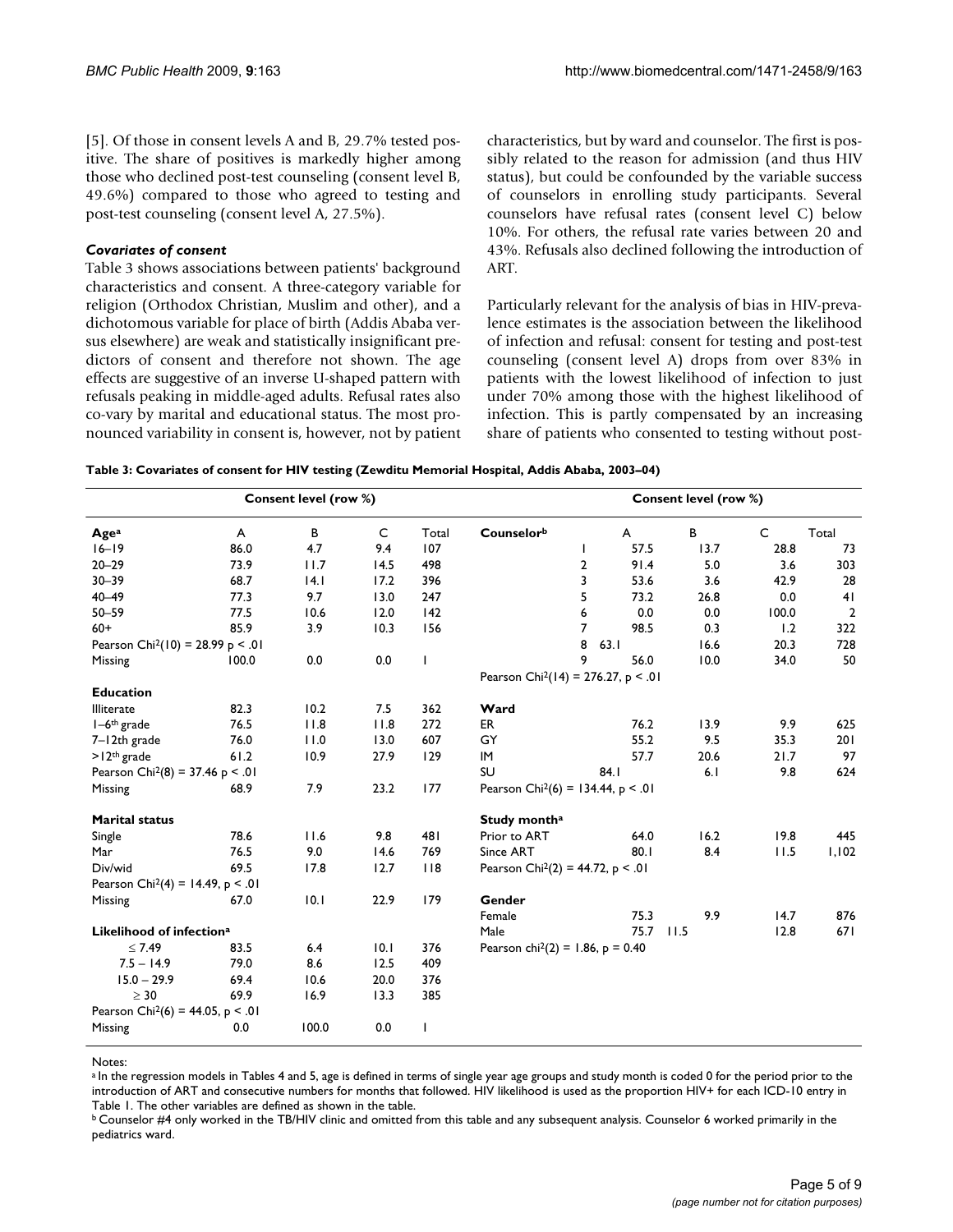[[5\]](#page-8-1). Of those in consent levels A and B, 29.7% tested positive. The share of positives is markedly higher among those who declined post-test counseling (consent level B, 49.6%) compared to those who agreed to testing and post-test counseling (consent level A, 27.5%).

#### *Covariates of consent*

Table [3](#page-4-0) shows associations between patients' background characteristics and consent. A three-category variable for religion (Orthodox Christian, Muslim and other), and a dichotomous variable for place of birth (Addis Ababa versus elsewhere) are weak and statistically insignificant predictors of consent and therefore not shown. The age effects are suggestive of an inverse U-shaped pattern with refusals peaking in middle-aged adults. Refusal rates also co-vary by marital and educational status. The most pronounced variability in consent is, however, not by patient characteristics, but by ward and counselor. The first is possibly related to the reason for admission (and thus HIV status), but could be confounded by the variable success of counselors in enrolling study participants. Several counselors have refusal rates (consent level C) below 10%. For others, the refusal rate varies between 20 and 43%. Refusals also declined following the introduction of ART.

Particularly relevant for the analysis of bias in HIV-prevalence estimates is the association between the likelihood of infection and refusal: consent for testing and post-test counseling (consent level A) drops from over 83% in patients with the lowest likelihood of infection to just under 70% among those with the highest likelihood of infection. This is partly compensated by an increasing share of patients who consented to testing without post-

<span id="page-4-0"></span>

| (Zeveldit Memorial Holopital Addis Addis Addis Ababa, 2003–04) Table 3: Covariates Of 2003–04 |  |  |  |
|-----------------------------------------------------------------------------------------------|--|--|--|
|                                                                                               |  |  |  |
|                                                                                               |  |  |  |

|                                                 |       | Consent level (row %) |      |              |                                                   |                |           | Consent level (row %) |       |                |
|-------------------------------------------------|-------|-----------------------|------|--------------|---------------------------------------------------|----------------|-----------|-----------------------|-------|----------------|
| Agea                                            | A     | в                     | C    | Total        | Counselorb                                        |                | A         | В                     | C     | Total          |
| $16 - 19$                                       | 86.0  | 4.7                   | 9.4  | 107          |                                                   | I.             | 57.5      | 13.7                  | 28.8  | 73             |
| $20 - 29$                                       | 73.9  | 11.7                  | 14.5 | 498          |                                                   | $\overline{2}$ | 91.4      | 5.0                   | 3.6   | 303            |
| $30 - 39$                                       | 68.7  | 4.1                   | 17.2 | 396          |                                                   | 3              | 53.6      | 3.6                   | 42.9  | 28             |
| $40 - 49$                                       | 77.3  | 9.7                   | 13.0 | 247          |                                                   | 5              | 73.2      | 26.8                  | 0.0   | 41             |
| $50 - 59$                                       | 77.5  | 10.6                  | 12.0 | 142          |                                                   | 6              | 0.0       | 0.0                   | 100.0 | $\overline{2}$ |
| $60+$                                           | 85.9  | 3.9                   | 10.3 | 156          |                                                   | 7              | 98.5      | 0.3                   | 1.2   | 322            |
| Pearson Chi <sup>2</sup> (10) = 28.99 p < .01   |       |                       |      |              |                                                   | 8              | 63.1      | 16.6                  | 20.3  | 728            |
| Missing                                         | 100.0 | 0.0                   | 0.0  | I.           |                                                   | 9              | 56.0      | 10.0                  | 34.0  | 50             |
|                                                 |       |                       |      |              | Pearson Chi <sup>2</sup> (14) = 276.27, $p < .01$ |                |           |                       |       |                |
| <b>Education</b>                                |       |                       |      |              |                                                   |                |           |                       |       |                |
| <b>Illiterate</b>                               | 82.3  | 10.2                  | 7.5  | 362          | Ward                                              |                |           |                       |       |                |
| I-6 <sup>th</sup> grade                         | 76.5  | 11.8                  | 11.8 | 272          | ER                                                |                | 76.2      | 13.9                  | 9.9   | 625            |
| 7-12th grade                                    | 76.0  | 11.0                  | 13.0 | 607          | GY                                                |                | 55.2      | 9.5                   | 35.3  | 201            |
| $>12th$ grade                                   | 61.2  | 10.9                  | 27.9 | 129          | IM.                                               |                | 57.7      | 20.6                  | 21.7  | 97             |
| Pearson Chi <sup>2</sup> (8) = 37.46 $p < .01$  |       |                       |      |              | SU                                                |                | 84.I      | 6.1                   | 9.8   | 624            |
| Missing                                         | 68.9  | 7.9                   | 23.2 | 177          | Pearson Chi <sup>2</sup> (6) = 134.44, $p < .01$  |                |           |                       |       |                |
| <b>Marital status</b>                           |       |                       |      |              | Study month <sup>a</sup>                          |                |           |                       |       |                |
| Single                                          | 78.6  | 11.6                  | 9.8  | 481          | Prior to ART                                      |                | 64.0      | 16.2                  | 19.8  | 445            |
| Mar                                             | 76.5  | 9.0                   | 14.6 | 769          | Since ART                                         |                | 80.1      | 8.4                   | 11.5  | 1,102          |
| Div/wid                                         | 69.5  | 17.8                  | 12.7 | $ $ $ $ 8    | Pearson Chi <sup>2</sup> (2) = 44.72, $p < .01$   |                |           |                       |       |                |
| Pearson Chi <sup>2</sup> (4) = 14.49, $p < .01$ |       |                       |      |              |                                                   |                |           |                       |       |                |
| Missing                                         | 67.0  | 10.1                  | 22.9 | 179          | Gender                                            |                |           |                       |       |                |
|                                                 |       |                       |      |              | Female                                            |                | 75.3      | 9.9                   | 14.7  | 876            |
| Likelihood of infection <sup>a</sup>            |       |                       |      |              | Male                                              |                | 75.7 11.5 |                       | 12.8  | 671            |
| $≤7.49$                                         | 83.5  | 6.4                   | 10.1 | 376          | Pearson chi <sup>2</sup> (2) = 1.86, $p = 0.40$   |                |           |                       |       |                |
| $7.5 - 14.9$                                    | 79.0  | 8.6                   | 12.5 | 409          |                                                   |                |           |                       |       |                |
| $15.0 - 29.9$                                   | 69.4  | 10.6                  | 20.0 | 376          |                                                   |                |           |                       |       |                |
| $\geq 30$                                       | 69.9  | 16.9                  | 13.3 | 385          |                                                   |                |           |                       |       |                |
| Pearson Chi <sup>2</sup> (6) = 44.05, $p < .01$ |       |                       |      |              |                                                   |                |           |                       |       |                |
| Missing                                         | 0.0   | 100.0                 | 0.0  | $\mathbf{I}$ |                                                   |                |           |                       |       |                |

Notes:

a In the regression models in Tables 4 and 5, age is defined in terms of single year age groups and study month is coded 0 for the period prior to the introduction of ART and consecutive numbers for months that followed. HIV likelihood is used as the proportion HIV+ for each ICD-10 entry in Table 1. The other variables are defined as shown in the table.

b Counselor #4 only worked in the TB/HIV clinic and omitted from this table and any subsequent analysis. Counselor 6 worked primarily in the pediatrics ward.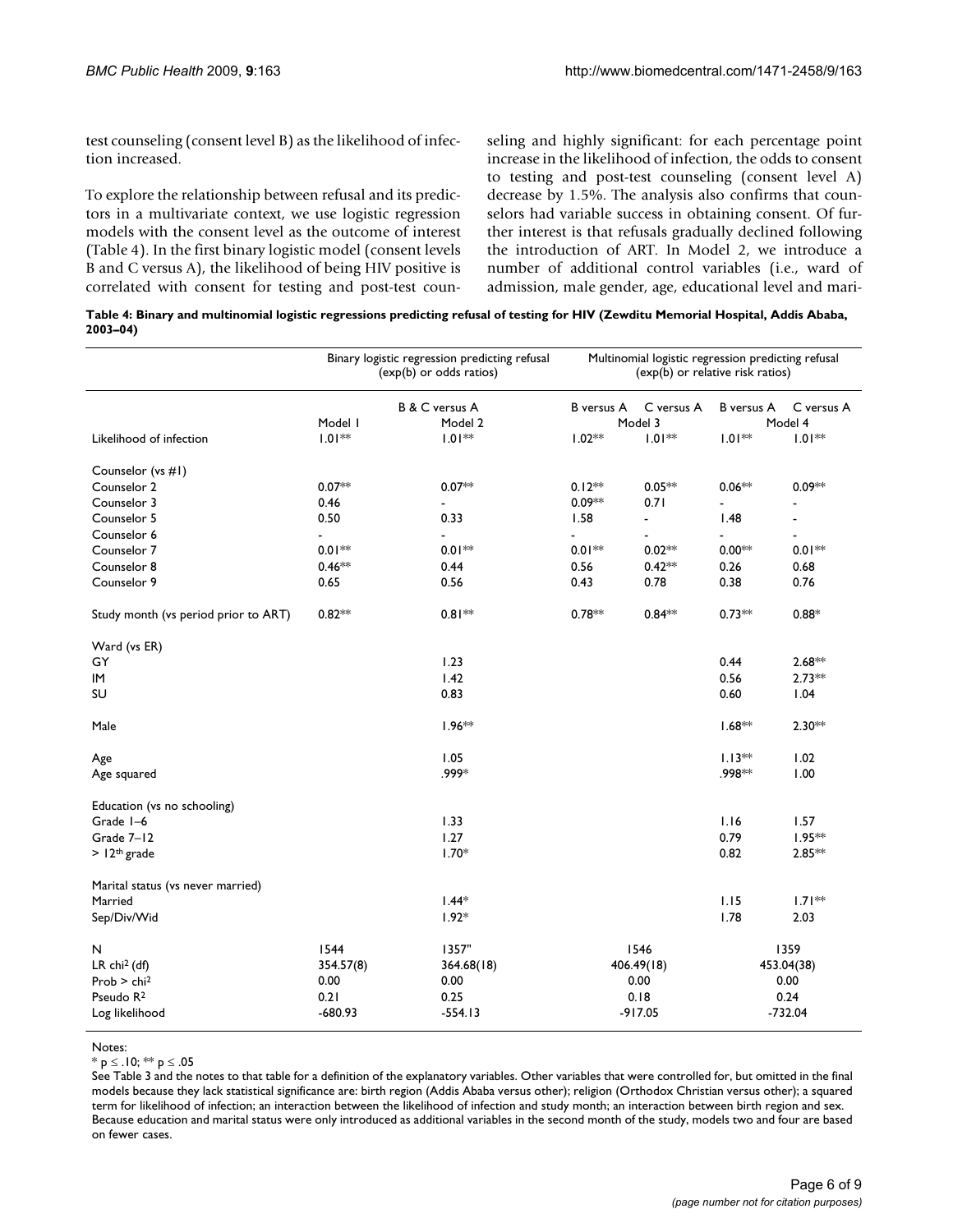test counseling (consent level B) as the likelihood of infection increased.

To explore the relationship between refusal and its predictors in a multivariate context, we use logistic regression models with the consent level as the outcome of interest (Table [4\)](#page-5-0). In the first binary logistic model (consent levels B and C versus A), the likelihood of being HIV positive is correlated with consent for testing and post-test counseling and highly significant: for each percentage point increase in the likelihood of infection, the odds to consent to testing and post-test counseling (consent level A) decrease by 1.5%. The analysis also confirms that counselors had variable success in obtaining consent. Of further interest is that refusals gradually declined following the introduction of ART. In Model 2, we introduce a number of additional control variables (i.e., ward of admission, male gender, age, educational level and mari-

#### <span id="page-5-0"></span>**Table 4: Binary and multinomial logistic regressions predicting refusal of testing for HIV (Zewditu Memorial Hospital, Addis Ababa, 2003–04)**

|                                      | Binary logistic regression predicting refusal<br>(exp(b) or odds ratios) |                | Multinomial logistic regression predicting refusal<br>(exp(b) or relative risk ratios) |                |                |                |
|--------------------------------------|--------------------------------------------------------------------------|----------------|----------------------------------------------------------------------------------------|----------------|----------------|----------------|
|                                      |                                                                          | B & C versus A | B versus A                                                                             | C versus A     | B versus A     | C versus A     |
|                                      | Model I                                                                  | Model 2        |                                                                                        | Model 3        |                | Model 4        |
| Likelihood of infection              | $1.01**$                                                                 | $1.01**$       | $1.02**$                                                                               | $1.01***$      | $1.01**$       | $1.01**$       |
| Counselor (vs #1)                    |                                                                          |                |                                                                                        |                |                |                |
| Counselor 2                          | $0.07**$                                                                 | $0.07**$       | $0.12**$                                                                               | $0.05***$      | $0.06**$       | $0.09**$       |
| Counselor 3                          | 0.46                                                                     |                | $0.09**$                                                                               | 0.71           | ÷.             |                |
| Counselor 5                          | 0.50                                                                     | 0.33           | 1.58                                                                                   | $\overline{a}$ | 1.48           |                |
| Counselor 6                          |                                                                          | $\blacksquare$ | $\overline{\phantom{a}}$                                                               | $\blacksquare$ | $\blacksquare$ | $\blacksquare$ |
| Counselor 7                          | $0.01^{*\!*}$                                                            | $0.01**$       | $0.01**$                                                                               | $0.02**$       | $0.00**$       | $0.01**$       |
| Counselor 8                          | $0.46**$                                                                 | 0.44           | 0.56                                                                                   | $0.42**$       | 0.26           | 0.68           |
| Counselor 9                          | 0.65                                                                     | 0.56           | 0.43                                                                                   | 0.78           | 0.38           | 0.76           |
| Study month (vs period prior to ART) | $0.82**$                                                                 | $0.81**$       | $0.78**$                                                                               | $0.84**$       | $0.73**$       | $0.88*$        |
| Ward (vs ER)                         |                                                                          |                |                                                                                        |                |                |                |
| GY                                   |                                                                          | 1.23           |                                                                                        |                | 0.44           | $2.68**$       |
| IM                                   |                                                                          | 1.42           |                                                                                        |                | 0.56           | $2.73**$       |
| SU                                   |                                                                          | 0.83           |                                                                                        |                | 0.60           | 1.04           |
| Male                                 |                                                                          | $1.96**$       |                                                                                        |                | $1.68**$       | $2.30**$       |
| Age                                  |                                                                          | 1.05           |                                                                                        |                | $1.13***$      | 1.02           |
| Age squared                          |                                                                          | .999*          |                                                                                        |                | .998**         | 1.00           |
| Education (vs no schooling)          |                                                                          |                |                                                                                        |                |                |                |
| Grade I-6                            |                                                                          | 1.33           |                                                                                        |                | 1.16           | 1.57           |
| Grade 7-12                           |                                                                          | 1.27           |                                                                                        |                | 0.79           | $1.95**$       |
| $> 12$ <sup>th</sup> grade           |                                                                          | $1.70*$        |                                                                                        |                | 0.82           | $2.85**$       |
| Marital status (vs never married)    |                                                                          |                |                                                                                        |                |                |                |
| Married                              |                                                                          | $1.44*$        |                                                                                        |                | 1.15           | $1.71**$       |
| Sep/Div/Wid                          |                                                                          | $1.92*$        |                                                                                        |                | 1.78           | 2.03           |
| N                                    | 1544                                                                     | 1357"          |                                                                                        | 1546           |                | 1359           |
| LR chi <sup>2</sup> (df)             | 354.57(8)                                                                | 364.68(18)     |                                                                                        | 406.49(18)     |                | 453.04(38)     |
| Prob > chi <sup>2</sup>              | 0.00                                                                     | 0.00           |                                                                                        | 0.00           |                | 0.00           |
| Pseudo R <sup>2</sup>                | 0.21                                                                     | 0.25           |                                                                                        | 0.18           |                | 0.24           |
| Log likelihood                       | $-680.93$                                                                | $-554.13$      |                                                                                        | $-917.05$      |                | $-732.04$      |

Notes:

\* p ≤ .10; \*\* p ≤ .05

See Table 3 and the notes to that table for a definition of the explanatory variables. Other variables that were controlled for, but omitted in the final models because they lack statistical significance are: birth region (Addis Ababa versus other); religion (Orthodox Christian versus other); a squared term for likelihood of infection; an interaction between the likelihood of infection and study month; an interaction between birth region and sex. Because education and marital status were only introduced as additional variables in the second month of the study, models two and four are based on fewer cases.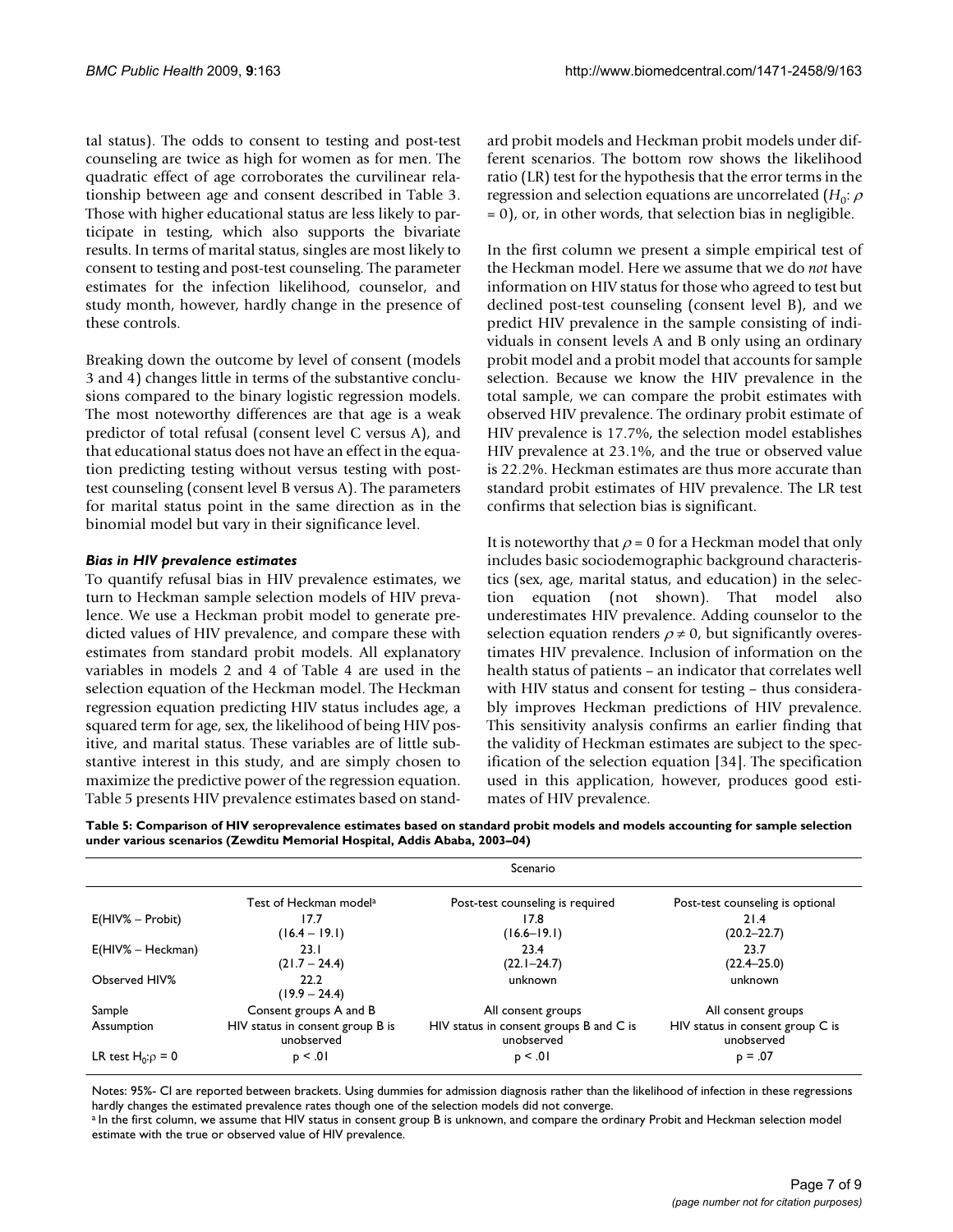tal status). The odds to consent to testing and post-test counseling are twice as high for women as for men. The quadratic effect of age corroborates the curvilinear relationship between age and consent described in Table [3.](#page-4-0) Those with higher educational status are less likely to participate in testing, which also supports the bivariate results. In terms of marital status, singles are most likely to consent to testing and post-test counseling. The parameter estimates for the infection likelihood, counselor, and study month, however, hardly change in the presence of these controls.

Breaking down the outcome by level of consent (models 3 and 4) changes little in terms of the substantive conclusions compared to the binary logistic regression models. The most noteworthy differences are that age is a weak predictor of total refusal (consent level C versus A), and that educational status does not have an effect in the equation predicting testing without versus testing with posttest counseling (consent level B versus A). The parameters for marital status point in the same direction as in the binomial model but vary in their significance level.

### *Bias in HIV prevalence estimates*

To quantify refusal bias in HIV prevalence estimates, we turn to Heckman sample selection models of HIV prevalence. We use a Heckman probit model to generate predicted values of HIV prevalence, and compare these with estimates from standard probit models. All explanatory variables in models 2 and 4 of Table [4](#page-5-0) are used in the selection equation of the Heckman model. The Heckman regression equation predicting HIV status includes age, a squared term for age, sex, the likelihood of being HIV positive, and marital status. These variables are of little substantive interest in this study, and are simply chosen to maximize the predictive power of the regression equation. Table [5](#page-6-0) presents HIV prevalence estimates based on standard probit models and Heckman probit models under different scenarios. The bottom row shows the likelihood ratio (LR) test for the hypothesis that the error terms in the regression and selection equations are uncorrelated ( $H_0$ :  $\rho$  $= 0$ ), or, in other words, that selection bias in negligible.

In the first column we present a simple empirical test of the Heckman model. Here we assume that we do *not* have information on HIV status for those who agreed to test but declined post-test counseling (consent level B), and we predict HIV prevalence in the sample consisting of individuals in consent levels A and B only using an ordinary probit model and a probit model that accounts for sample selection. Because we know the HIV prevalence in the total sample, we can compare the probit estimates with observed HIV prevalence. The ordinary probit estimate of HIV prevalence is 17.7%, the selection model establishes HIV prevalence at 23.1%, and the true or observed value is 22.2%. Heckman estimates are thus more accurate than standard probit estimates of HIV prevalence. The LR test confirms that selection bias is significant.

It is noteworthy that  $\rho = 0$  for a Heckman model that only includes basic sociodemographic background characteristics (sex, age, marital status, and education) in the selection equation (not shown). That model also underestimates HIV prevalence. Adding counselor to the selection equation renders  $\rho \neq 0$ , but significantly overestimates HIV prevalence. Inclusion of information on the health status of patients – an indicator that correlates well with HIV status and consent for testing – thus considerably improves Heckman predictions of HIV prevalence. This sensitivity analysis confirms an earlier finding that the validity of Heckman estimates are subject to the specification of the selection equation [[34\]](#page-8-18). The specification used in this application, however, produces good estimates of HIV prevalence.

<span id="page-6-0"></span>**Table 5: Comparison of HIV seroprevalence estimates based on standard probit models and models accounting for sample selection under various scenarios (Zewditu Memorial Hospital, Addis Ababa, 2003–04)**

|                         |                                                | Scenario                                              |                                                |
|-------------------------|------------------------------------------------|-------------------------------------------------------|------------------------------------------------|
|                         | Test of Heckman model <sup>a</sup>             | Post-test counseling is required                      | Post-test counseling is optional               |
| E(HIV% – Probit)        | 17.7<br>$(16.4 - 19.1)$                        | 17.8<br>(16.6–19.1)                                   | 21.4<br>$(20.2 - 22.7)$                        |
| E(HIV% – Heckman)       | 23.1<br>$(21.7 - 24.4)$                        | 23.4<br>$(22.1 - 24.7)$                               | 23.7<br>$(22.4 - 25.0)$                        |
| Observed HIV%           | 22.2<br>$(19.9 - 24.4)$                        | unknown                                               | unknown                                        |
| Sample                  | Consent groups A and B                         | All consent groups                                    | All consent groups                             |
| Assumption              | HIV status in consent group B is<br>unobserved | HIV status in consent groups B and C is<br>unobserved | HIV status in consent group C is<br>unobserved |
| LR test $H_0: \rho = 0$ | p < .01                                        | p < .01                                               | $p = .07$                                      |

Notes: 95%- CI are reported between brackets. Using dummies for admission diagnosis rather than the likelihood of infection in these regressions hardly changes the estimated prevalence rates though one of the selection models did not converge.

a In the first column, we assume that HIV status in consent group B is unknown, and compare the ordinary Probit and Heckman selection model estimate with the true or observed value of HIV prevalence.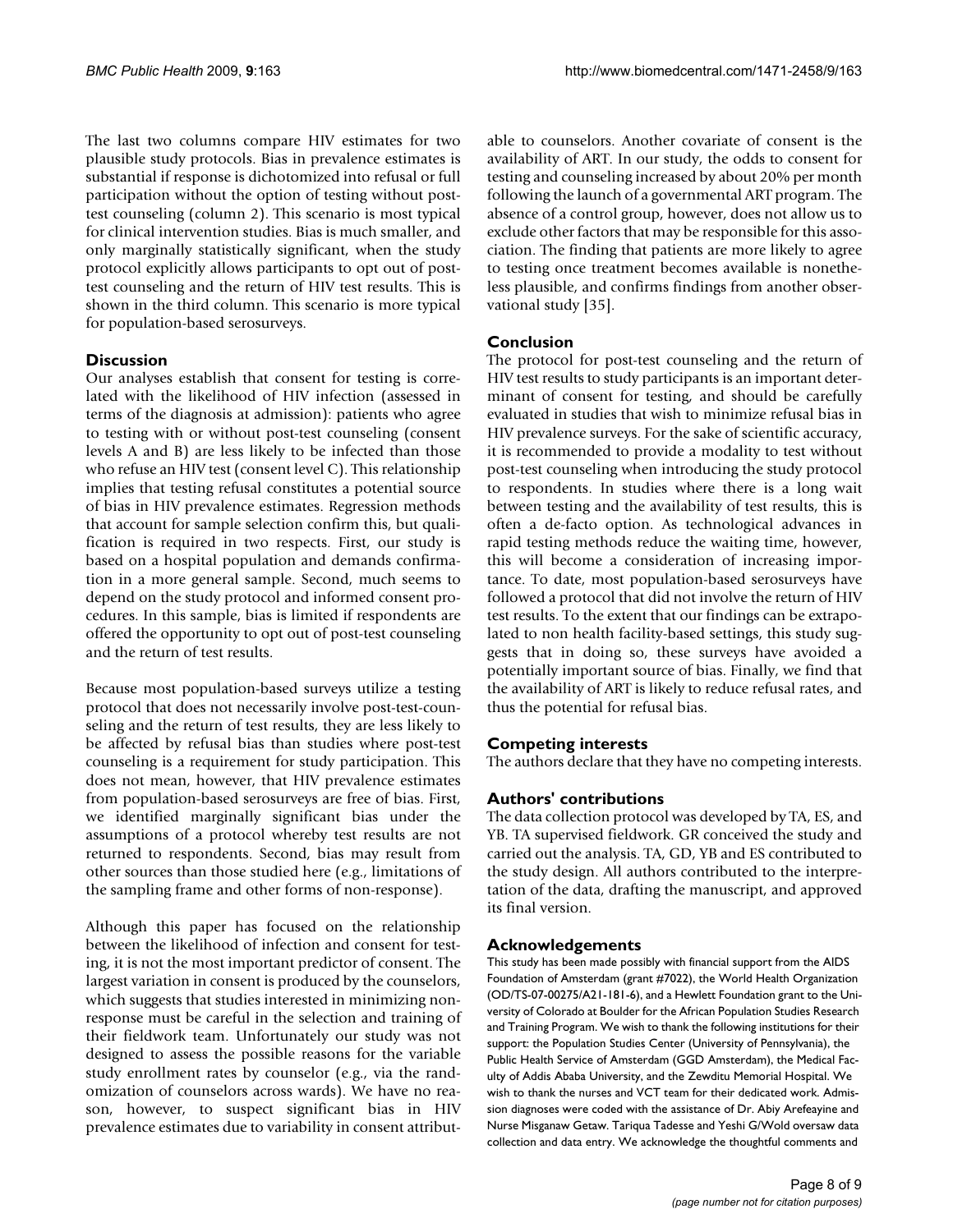The last two columns compare HIV estimates for two plausible study protocols. Bias in prevalence estimates is substantial if response is dichotomized into refusal or full participation without the option of testing without posttest counseling (column 2). This scenario is most typical for clinical intervention studies. Bias is much smaller, and only marginally statistically significant, when the study protocol explicitly allows participants to opt out of posttest counseling and the return of HIV test results. This is shown in the third column. This scenario is more typical for population-based serosurveys.

# **Discussion**

Our analyses establish that consent for testing is correlated with the likelihood of HIV infection (assessed in terms of the diagnosis at admission): patients who agree to testing with or without post-test counseling (consent levels A and B) are less likely to be infected than those who refuse an HIV test (consent level C). This relationship implies that testing refusal constitutes a potential source of bias in HIV prevalence estimates. Regression methods that account for sample selection confirm this, but qualification is required in two respects. First, our study is based on a hospital population and demands confirmation in a more general sample. Second, much seems to depend on the study protocol and informed consent procedures. In this sample, bias is limited if respondents are offered the opportunity to opt out of post-test counseling and the return of test results.

Because most population-based surveys utilize a testing protocol that does not necessarily involve post-test-counseling and the return of test results, they are less likely to be affected by refusal bias than studies where post-test counseling is a requirement for study participation. This does not mean, however, that HIV prevalence estimates from population-based serosurveys are free of bias. First, we identified marginally significant bias under the assumptions of a protocol whereby test results are not returned to respondents. Second, bias may result from other sources than those studied here (e.g., limitations of the sampling frame and other forms of non-response).

Although this paper has focused on the relationship between the likelihood of infection and consent for testing, it is not the most important predictor of consent. The largest variation in consent is produced by the counselors, which suggests that studies interested in minimizing nonresponse must be careful in the selection and training of their fieldwork team. Unfortunately our study was not designed to assess the possible reasons for the variable study enrollment rates by counselor (e.g., via the randomization of counselors across wards). We have no reason, however, to suspect significant bias in HIV prevalence estimates due to variability in consent attributable to counselors. Another covariate of consent is the availability of ART. In our study, the odds to consent for testing and counseling increased by about 20% per month following the launch of a governmental ART program. The absence of a control group, however, does not allow us to exclude other factors that may be responsible for this association. The finding that patients are more likely to agree to testing once treatment becomes available is nonetheless plausible, and confirms findings from another observational study [\[35](#page-8-19)].

# **Conclusion**

The protocol for post-test counseling and the return of HIV test results to study participants is an important determinant of consent for testing, and should be carefully evaluated in studies that wish to minimize refusal bias in HIV prevalence surveys. For the sake of scientific accuracy, it is recommended to provide a modality to test without post-test counseling when introducing the study protocol to respondents. In studies where there is a long wait between testing and the availability of test results, this is often a de-facto option. As technological advances in rapid testing methods reduce the waiting time, however, this will become a consideration of increasing importance. To date, most population-based serosurveys have followed a protocol that did not involve the return of HIV test results. To the extent that our findings can be extrapolated to non health facility-based settings, this study suggests that in doing so, these surveys have avoided a potentially important source of bias. Finally, we find that the availability of ART is likely to reduce refusal rates, and thus the potential for refusal bias.

# **Competing interests**

The authors declare that they have no competing interests.

# **Authors' contributions**

The data collection protocol was developed by TA, ES, and YB. TA supervised fieldwork. GR conceived the study and carried out the analysis. TA, GD, YB and ES contributed to the study design. All authors contributed to the interpretation of the data, drafting the manuscript, and approved its final version.

#### **Acknowledgements**

This study has been made possibly with financial support from the AIDS Foundation of Amsterdam (grant #7022), the World Health Organization (OD/TS-07-00275/A21-181-6), and a Hewlett Foundation grant to the University of Colorado at Boulder for the African Population Studies Research and Training Program. We wish to thank the following institutions for their support: the Population Studies Center (University of Pennsylvania), the Public Health Service of Amsterdam (GGD Amsterdam), the Medical Faculty of Addis Ababa University, and the Zewditu Memorial Hospital. We wish to thank the nurses and VCT team for their dedicated work. Admission diagnoses were coded with the assistance of Dr. Abiy Arefeayine and Nurse Misganaw Getaw. Tariqua Tadesse and Yeshi G/Wold oversaw data collection and data entry. We acknowledge the thoughtful comments and